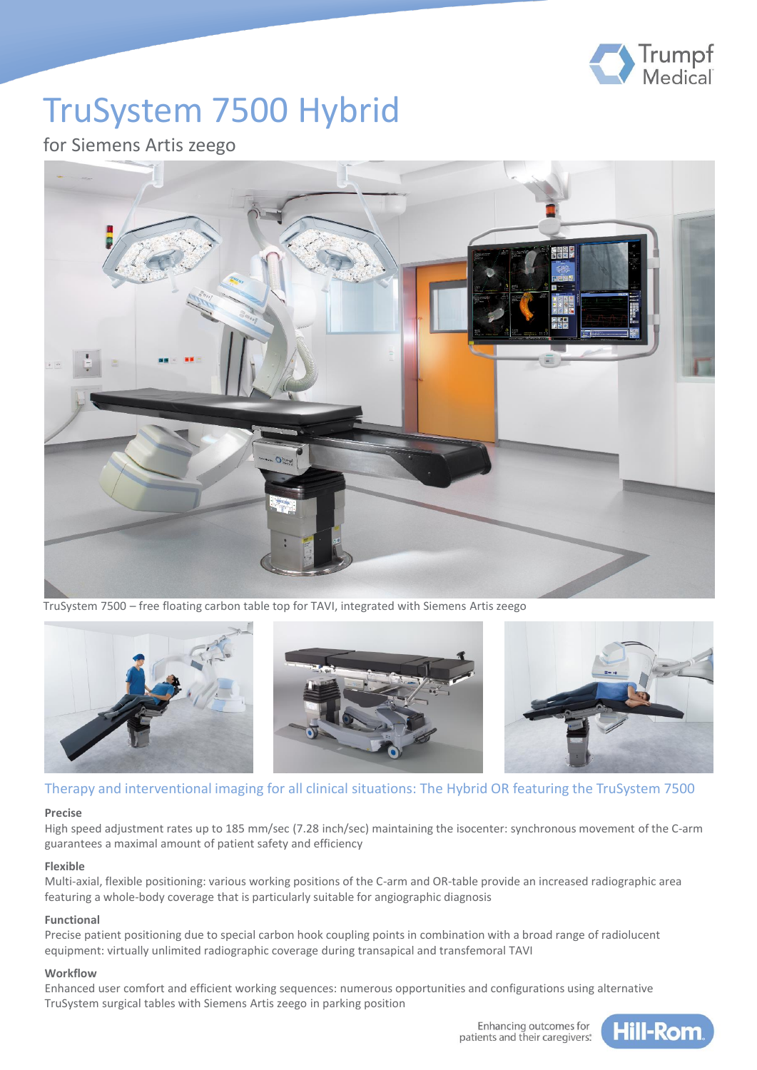

# TruSystem 7500 Hybrid

### for Siemens Artis zeego



TruSystem 7500 – free floating carbon table top for TAVI, integrated with Siemens Artis zeego



#### Therapy and interventional imaging for all clinical situations: The Hybrid OR featuring the TruSystem 7500

#### **Precise**

High speed adjustment rates up to 185 mm/sec (7.28 inch/sec) maintaining the isocenter: synchronous movement of the C-arm guarantees a maximal amount of patient safety and efficiency

#### **Flexible**

Multi-axial, flexible positioning: various working positions of the C-arm and OR-table provide an increased radiographic area featuring a whole-body coverage that is particularly suitable for angiographic diagnosis

#### **Functional**

Precise patient positioning due to special carbon hook coupling points in combination with a broad range of radiolucent equipment: virtually unlimited radiographic coverage during transapical and transfemoral TAVI

#### **Workflow**

Enhanced user comfort and efficient working sequences: numerous opportunities and configurations using alternative TruSystem surgical tables with Siemens Artis zeego in parking position

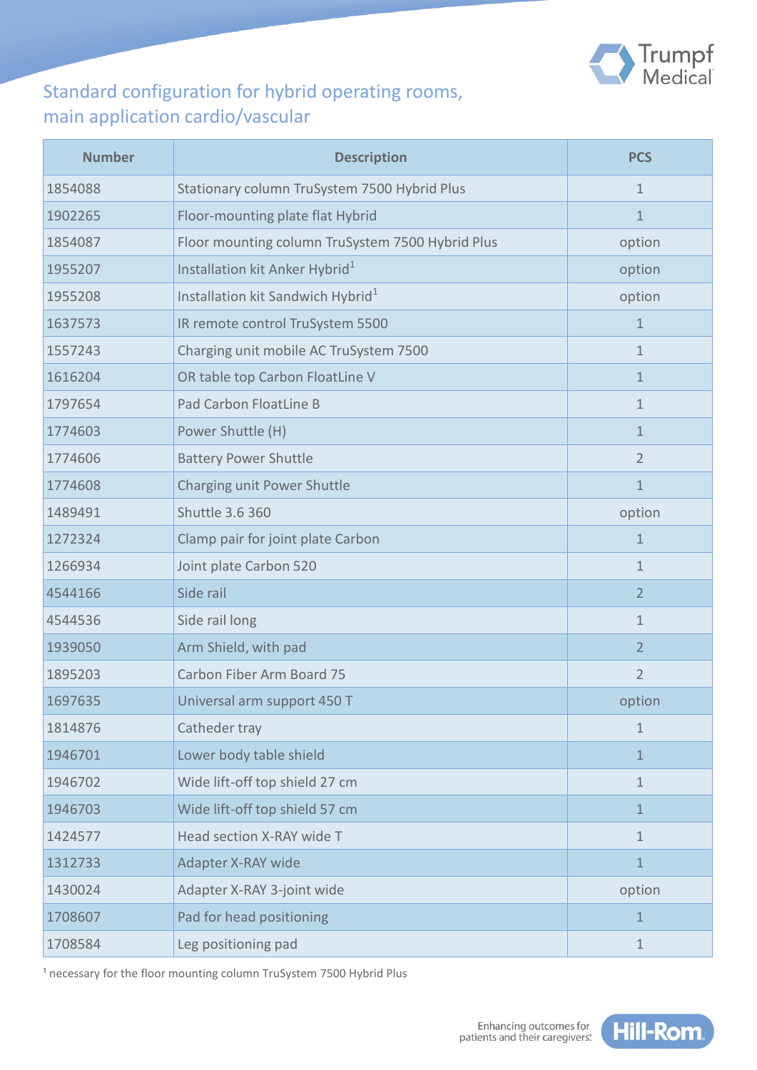

# Standard configuration for hybrid operating rooms, main application cardio/vascular

| <b>Number</b> | <b>Description</b>                               | <b>PCS</b>     |
|---------------|--------------------------------------------------|----------------|
| 1854088       | Stationary column TruSystem 7500 Hybrid Plus     | $\mathbf{1}$   |
| 1902265       | Floor-mounting plate flat Hybrid                 | $\mathbf{1}$   |
| 1854087       | Floor mounting column TruSystem 7500 Hybrid Plus | option         |
| 1955207       | Installation kit Anker Hybrid <sup>1</sup>       | option         |
| 1955208       | Installation kit Sandwich Hybrid <sup>1</sup>    | option         |
| 1637573       | IR remote control TruSystem 5500                 | $\mathbf{1}$   |
| 1557243       | Charging unit mobile AC TruSystem 7500           | $\mathbf{1}$   |
| 1616204       | OR table top Carbon FloatLine V                  | 1              |
| 1797654       | Pad Carbon FloatLine B                           | $\mathbf{1}$   |
| 1774603       | Power Shuttle (H)                                | $\mathbf{1}$   |
| 1774606       | <b>Battery Power Shuttle</b>                     | $\overline{2}$ |
| 1774608       | Charging unit Power Shuttle                      | 1              |
| 1489491       | <b>Shuttle 3.6 360</b>                           | option         |
| 1272324       | Clamp pair for joint plate Carbon                | $\mathbf{1}$   |
| 1266934       | Joint plate Carbon 520                           | 1              |
| 4544166       | Side rail                                        | $\overline{2}$ |
| 4544536       | Side rail long                                   | $\mathbf 1$    |
| 1939050       | Arm Shield, with pad                             | $\overline{2}$ |
| 1895203       | Carbon Fiber Arm Board 75                        | $\overline{2}$ |
| 1697635       | Universal arm support 450 T                      | option         |
| 1814876       | Catheder tray                                    | $\mathbf{1}$   |
| 1946701       | Lower body table shield                          | 1              |
| 1946702       | Wide lift-off top shield 27 cm                   | 1              |
| 1946703       | Wide lift-off top shield 57 cm                   | 1              |
| 1424577       | Head section X-RAY wide T                        | $\mathbf 1$    |
| 1312733       | Adapter X-RAY wide                               | $\mathbf{1}$   |
| 1430024       | Adapter X-RAY 3-joint wide                       | option         |
| 1708607       | Pad for head positioning                         | $\mathbf 1$    |
| 1708584       | Leg positioning pad                              | $\mathbf{1}$   |

<sup>1</sup> necessary for the floor mounting column TruSystem 7500 Hybrid Plus

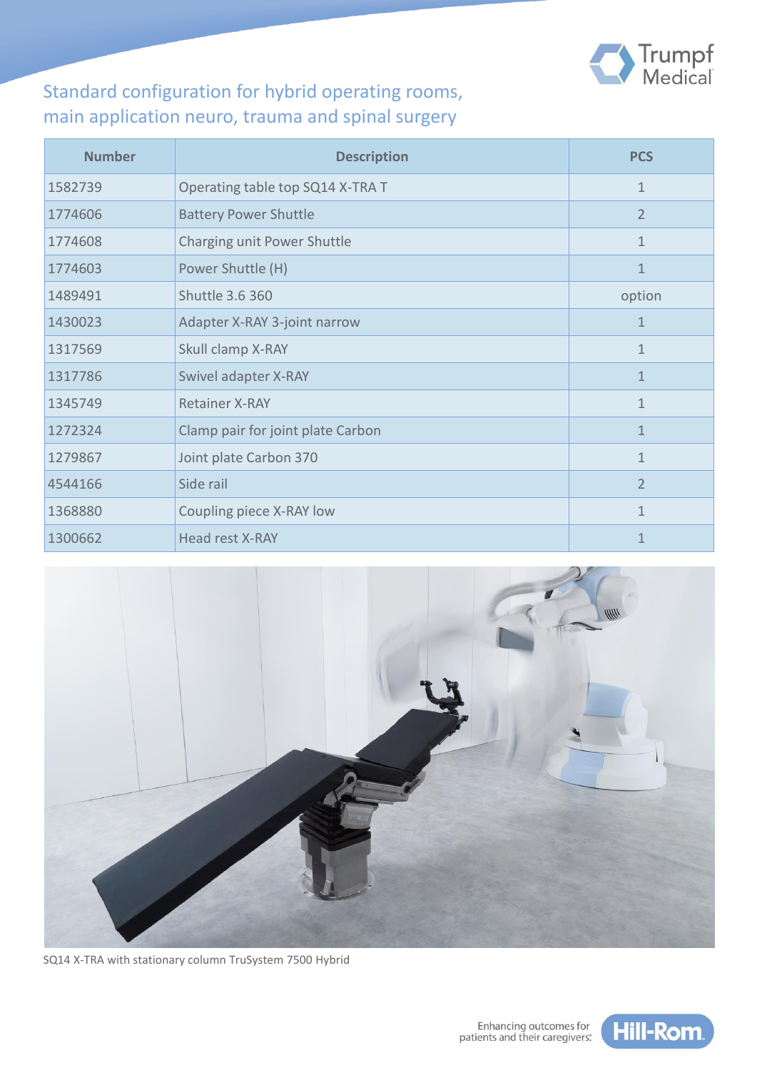

# Standard configuration for hybrid operating rooms, main application neuro, trauma and spinal surgery

| <b>Number</b> | <b>Description</b>                | <b>PCS</b>     |
|---------------|-----------------------------------|----------------|
| 1582739       | Operating table top SQ14 X-TRA T  | 1              |
| 1774606       | <b>Battery Power Shuttle</b>      | $\overline{2}$ |
| 1774608       | Charging unit Power Shuttle       | $\mathbf{1}$   |
| 1774603       | Power Shuttle (H)                 | $\mathbf{1}$   |
| 1489491       | Shuttle 3.6 360                   | option         |
| 1430023       | Adapter X-RAY 3-joint narrow      | 1              |
| 1317569       | Skull clamp X-RAY                 | $\mathbf{1}$   |
| 1317786       | Swivel adapter X-RAY              | $\mathbf{1}$   |
| 1345749       | <b>Retainer X-RAY</b>             | 1              |
| 1272324       | Clamp pair for joint plate Carbon | 1              |
| 1279867       | Joint plate Carbon 370            | 1              |
| 4544166       | Side rail                         | $\overline{2}$ |
| 1368880       | Coupling piece X-RAY low          | 1              |
| 1300662       | Head rest X-RAY                   | $\mathbf{1}$   |



SQ14 X-TRA with stationary column TruSystem 7500 Hybrid